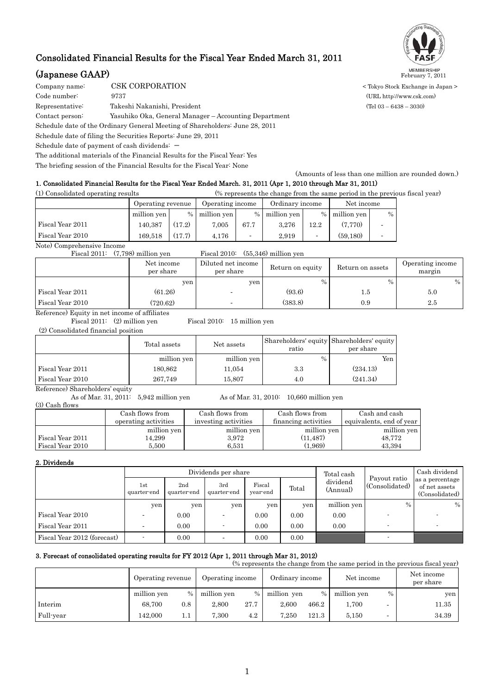# Consolidated Financial Results for the Fiscal Year Ended March 31, 2011

# **(Japanese GAAP)** MEMBERSHIP February 7, 2011

COMPORATION CORPORATION COMPORATION Code number: 9737 (URL http://www.csk.com) Representative: Takeshi Nakanishi, President (Tel 03 – 6438 – 3030) Contact person: Yasuhiko Oka, General Manager – Accounting Department Schedule date of the Ordinary General Meeting of Shareholders: June 28, 2011 Schedule date of filing the Securities Reports: June 29, 2011 Schedule date of payment of cash dividends:  $-$ 

The additional materials of the Financial Results for the Fiscal Year: Yes

The briefing session of the Financial Results for the Fiscal Year: None

(Amounts of less than one million are rounded down.) 1. Consolidated Financial Results for the Fiscal Year Ended March. 31, 2011 (Apr 1, 2010 through Mar 31, 2011)

| (1) Consolidated operating results |                   |        |                  |      |               |                 | (% represents the change from the same period in the previous fiscal year) |            |  |
|------------------------------------|-------------------|--------|------------------|------|---------------|-----------------|----------------------------------------------------------------------------|------------|--|
|                                    | Operating revenue |        | Operating income |      |               | Ordinary income |                                                                            | Net income |  |
|                                    | million yen       |        | $%$ million yen  |      | % million yen |                 | % million yen                                                              | $\%$       |  |
| Fiscal Year 2011                   | 140.387           | (17.2) | 7.005            | 67.7 | 3.276         | 12.2            | (7.770)                                                                    |            |  |
| Fiscal Year 2010                   | 169.518           | (17.7) | 4.176            |      | 2.919         |                 | (59.180)                                                                   |            |  |

Note) Comprehensive Income

Fiscal 2011: (7,798) million yen Fiscal 2010: (55,346) million yen

|                  | Net income<br>per share | Diluted net income<br>per share | Return on equity | Return on assets | Operating income<br>margin |
|------------------|-------------------------|---------------------------------|------------------|------------------|----------------------------|
|                  | yen                     | yen                             | $\frac{0}{0}$    | $\%$             | $\%$                       |
| Fiscal Year 2011 | (61.26)                 | $\overline{\phantom{0}}$        | (93.6)           | 1.5              | 5.0                        |
| Fiscal Year 2010 | (720.62)                | $\overline{\phantom{0}}$        | (383.8)          | 0.9              | 2.5                        |

Reference) Equity in net income of affiliates

Fiscal 2011: (2) million yen Fiscal 2010: 15 million yen (2) Consolidated financial position

|                                                           | Total assets | Net assets  | Shareholders' equity Shareholders' equity<br>ratio | per share |
|-----------------------------------------------------------|--------------|-------------|----------------------------------------------------|-----------|
|                                                           | million yen  | million yen | $\%$                                               | Yen       |
| Fiscal Year 2011                                          | 180,862      | 11,054      | 3.3                                                | (234.13)  |
| Fiscal Year 2010                                          | 267.749      | 15.807      | 4.0                                                | (241.34)  |
| $\mathbf{r}$ . $\mathbf{r}$ . $\mathbf{r}$ . $\mathbf{r}$ |              |             |                                                    |           |

Reference) Shareholders' equity<br>As of Mar. 31, 2011: 5,942 million yen As of Mar. 31, 2010:  $10,660$  million yen (3) Cash flows

|                  | Cash flows from      | Cash flows from      | Cash flows from      | Cash and cash            |
|------------------|----------------------|----------------------|----------------------|--------------------------|
|                  | operating activities | investing activities | financing activities | equivalents, end of year |
|                  | million yen          | million yen          | million yen          | million yen              |
| Fiscal Year 2011 | 14,299               | 3.972                | (11, 487)            | 48,772                   |
| Fiscal Year 2010 | 5.500                | $_{6.531}$           | (1.969)              | 43.394                   |

### 2. Dividends

|                             |                    |                    | Dividends per share |                    |       | Total cash           |                                | Cash dividend                                      |
|-----------------------------|--------------------|--------------------|---------------------|--------------------|-------|----------------------|--------------------------------|----------------------------------------------------|
|                             | 1st<br>quarter-end | 2nd<br>quarter-end | 3rd<br>quarter-end  | Fiscal<br>year-end | Total | dividend<br>(Annual) | Payout ratio<br>(Consolidated) | as a percentage<br>of net assets<br>(Consolidated) |
|                             | yen                | yen                | yen                 | yen                | yen   | million yen          | $\%$                           | $\%$                                               |
| Fiscal Year 2010            |                    | 0.00               |                     | 0.00               | 0.00  | 0.00                 |                                |                                                    |
| Fiscal Year 2011            |                    | 0.00               |                     | 0.00               | 0.00  | 0.00                 |                                |                                                    |
| Fiscal Year 2012 (forecast) |                    | 0.00               |                     | 0.00               | 0.00  |                      |                                |                                                    |

## 3. Forecast of consolidated operating results for FY 2012 (Apr 1, 2011 through Mar 31, 2012)

| (% represents the change from the same period in the previous fiscal year) |                   |         |                  |      |                 |       |             |      |                         |
|----------------------------------------------------------------------------|-------------------|---------|------------------|------|-----------------|-------|-------------|------|-------------------------|
|                                                                            | Operating revenue |         | Operating income |      | Ordinary income |       | Net income  |      | Net income<br>per share |
|                                                                            | million yen       | $\%$    | million yen      | $\%$ | million yen     | $\%$  | million yen | $\%$ | yen                     |
| Interim                                                                    | 68.700            | 0.8     | 2.800            | 27.7 | 2.600           | 466.2 | 1,700       |      | 11.35                   |
| Full-year                                                                  | 142,000           | $1.1\,$ | 7.300            | 4.2  | 7.250           | 121.3 | 5.150       |      | 34.39                   |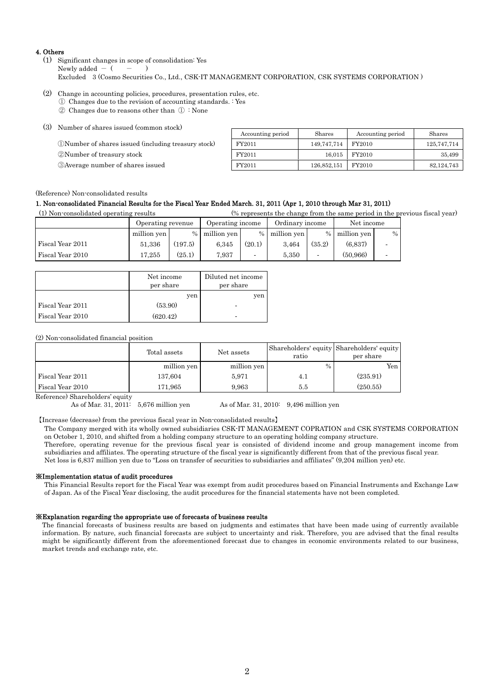#### 4. Others

(1) Significant changes in scope of consolidation: Yes Newly added  $-$  (  $-$  ) Excluded 3 (Cosmo Securities Co., Ltd., CSK-IT MANAGEMENT CORPORATION, CSK SYSTEMS CORPORATION )

- (2) Change in accounting policies, procedures, presentation rules, etc.
	- ① Changes due to the revision of accounting standards. : Yes
		- ② Changes due to reasons other than ① : None

| (3) Number of shares issued (common stock)           |                   |             |                   |              |
|------------------------------------------------------|-------------------|-------------|-------------------|--------------|
|                                                      | Accounting period | Shares      | Accounting period | Shares       |
| (DNumber of shares issued (including treasury stock) | FY2011            | 149.747.714 | FY2010            | 125,747,714  |
| 2 Number of treasury stock                           | FY2011            | 16.015      | FY2010            | 35.499       |
| <b>3</b> Average number of shares issued             | FY2011            | 126,852,151 | FY2010            | 82, 124, 743 |

### (Reference) Non-consolidated results

### 1. Non-consolidated Financial Results for the Fiscal Year Ended March. 31, 2011 (Apr 1, 2010 through Mar 31, 2011)

(1) Non-consolidated operating results (% represents the change from the same period in the previous fiscal year)

|                  | Operating revenue |         | Operating income |        | Ordinary income |        | Net income    |      |
|------------------|-------------------|---------|------------------|--------|-----------------|--------|---------------|------|
|                  | million yen       | $\%$    | million yen      |        | % million yen   |        | % million yen | $\%$ |
| Fiscal Year 2011 | 51,336            | (197.5) | 6.345            | (20.1) | 3.464           | (35.2) | (6.837)       |      |
| Fiscal Year 2010 | 17.255            | (25.1)  | 7.937            |        | 5.350           |        | (50.966)      |      |

|                  | Net income<br>per share | Diluted net income<br>per share |
|------------------|-------------------------|---------------------------------|
|                  | yen                     | yen                             |
| Fiscal Year 2011 | (53.90)                 |                                 |
| Fiscal Year 2010 | (620.42)                |                                 |

### (2) Non-consolidated financial position

|                                 | Total assets | Net assets  | Shareholders' equity Shareholders' equity<br>ratio | per share |
|---------------------------------|--------------|-------------|----------------------------------------------------|-----------|
|                                 | million yen  | million yen | $\frac{0}{0}$                                      | Yen       |
| Fiscal Year 2011                | 137.604      | 5,971       | 4.1                                                | (235.91)  |
| Fiscal Year 2010                | 171,965      | 9,963       | 5.5                                                | (250.55)  |
| $\sim$<br>$\mathbf{r}$ $\alpha$ |              |             |                                                    |           |

Reference) Shareholders' equity

As of Mar. 31, 2011: 5,676 million yen As of Mar. 31, 2010: 9,496 million yen

【Increase (decrease) from the previous fiscal year in Non-consolidated results】

The Company merged with its wholly owned subsidiaries CSK-IT MANAGEMENT COPRATION and CSK SYSTEMS CORPORATION on October 1, 2010, and shifted from a holding company structure to an operating holding company structure.

Therefore, operating revenue for the previous fiscal year is consisted of dividend income and group management income from subsidiaries and affiliates. The operating structure of the fiscal year is significantly different from that of the previous fiscal year. Net loss is 6,837 million yen due to "Loss on transfer of securities to subsidiaries and affiliates" (9,204 million yen) etc.

#### ※Implementation status of audit procedures

This Financial Results report for the Fiscal Year was exempt from audit procedures based on Financial Instruments and Exchange Law of Japan. As of the Fiscal Year disclosing, the audit procedures for the financial statements have not been completed.

#### ※Explanation regarding the appropriate use of forecasts of business results

The financial forecasts of business results are based on judgments and estimates that have been made using of currently available information. By nature, such financial forecasts are subject to uncertainty and risk. Therefore, you are advised that the final results might be significantly different from the aforementioned forecast due to changes in economic environments related to our business, market trends and exchange rate, etc.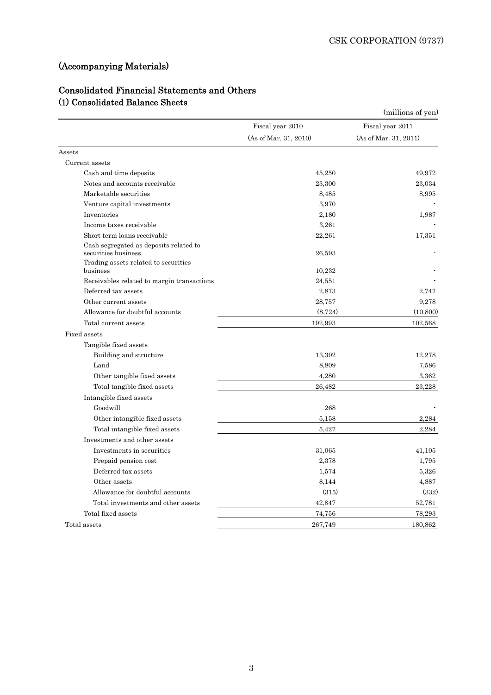# (Accompanying Materials)

# Consolidated Financial Statements and Others (1) Consolidated Balance Sheets

|                                                               |                       | (millions of yen)     |
|---------------------------------------------------------------|-----------------------|-----------------------|
|                                                               | Fiscal year 2010      | Fiscal year 2011      |
|                                                               | (As of Mar. 31, 2010) | (As of Mar. 31, 2011) |
| Assets                                                        |                       |                       |
| Current assets                                                |                       |                       |
| Cash and time deposits                                        | 45,250                | 49,972                |
| Notes and accounts receivable                                 | 23,300                | 23,034                |
| Marketable securities                                         | 8,485                 | 8.995                 |
| Venture capital investments                                   | 3,970                 |                       |
| Inventories                                                   | 2,180                 | 1,987                 |
| Income taxes receivable                                       | 3,261                 |                       |
| Short term loans receivable                                   | 22,261                | 17,351                |
| Cash segregated as deposits related to<br>securities business | 26.593                |                       |
| Trading assets related to securities<br>business              | 10,232                |                       |
| Receivables related to margin transactions                    | 24,551                |                       |
| Deferred tax assets                                           | 2,873                 | 2,747                 |
| Other current assets                                          | 28,757                | 9,278                 |
| Allowance for doubtful accounts                               | (8, 724)              | (10, 800)             |
| Total current assets                                          | 192,993               | 102,568               |
| Fixed assets                                                  |                       |                       |
| Tangible fixed assets                                         |                       |                       |
| Building and structure                                        | 13,392                | 12,278                |
| Land                                                          | 8,809                 | 7,586                 |
| Other tangible fixed assets                                   | 4,280                 | 3,362                 |
| Total tangible fixed assets                                   | 26,482                | 23,228                |
| Intangible fixed assets                                       |                       |                       |
| Goodwill                                                      | 268                   |                       |
| Other intangible fixed assets                                 | 5.158                 | 2,284                 |
| Total intangible fixed assets                                 | 5.427                 | 2,284                 |
| Investments and other assets                                  |                       |                       |
| Investments in securities                                     | 31,065                | 41,105                |
| Prepaid pension cost                                          | 2,378                 | 1,795                 |
| Deferred tax assets                                           | 1,574                 | 5,326                 |
| Other assets                                                  | 8,144                 | 4,887                 |
| Allowance for doubtful accounts                               | (315)                 | (332)                 |
| Total investments and other assets                            | 42,847                | 52,781                |
| Total fixed assets                                            | 74,756                | 78,293                |
| Total assets                                                  | 267,749               | 180,862               |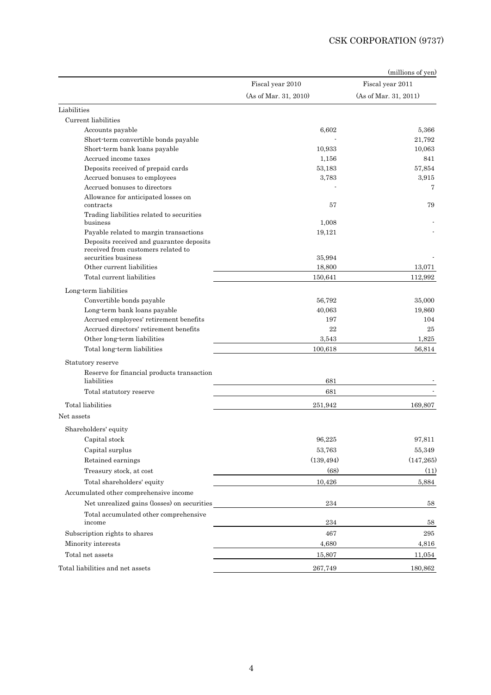|                                                                                |                       | (millions of yen)     |
|--------------------------------------------------------------------------------|-----------------------|-----------------------|
|                                                                                | Fiscal year 2010      | Fiscal year 2011      |
|                                                                                | (As of Mar. 31, 2010) | (As of Mar. 31, 2011) |
| Liabilities                                                                    |                       |                       |
| Current liabilities                                                            |                       |                       |
| Accounts payable                                                               | 6,602                 | 5,366                 |
| Short-term convertible bonds payable                                           |                       | 21,792                |
| Short-term bank loans payable                                                  | 10,933                | 10,063                |
| Accrued income taxes                                                           | 1,156                 | 841                   |
| Deposits received of prepaid cards                                             | 53,183                | 57,854                |
| Accrued bonuses to employees                                                   | 3,783                 | 3,915                 |
| Accrued bonuses to directors                                                   |                       | 7                     |
| Allowance for anticipated losses on<br>contracts                               | 57                    | 79                    |
| Trading liabilities related to securities<br>business                          | 1,008                 |                       |
| Payable related to margin transactions                                         | 19,121                |                       |
| Deposits received and guarantee deposits<br>received from customers related to |                       |                       |
| securities business                                                            | 35,994                |                       |
| Other current liabilities                                                      | 18,800                | 13.071                |
| Total current liabilities                                                      | 150,641               | 112,992               |
| Long term liabilities                                                          |                       |                       |
| Convertible bonds payable                                                      | 56,792                | 35,000                |
| Long-term bank loans payable                                                   | 40,063                | 19,860                |
| Accrued employees' retirement benefits                                         | 197                   | 104                   |
| Accrued directors' retirement benefits                                         | 22                    | 25                    |
| Other long-term liabilities                                                    | 3,543                 | 1,825                 |
| Total long-term liabilities                                                    | 100,618               | 56,814                |
| Statutory reserve                                                              |                       |                       |
| Reserve for financial products transaction<br>liabilities                      | 681                   |                       |
| Total statutory reserve                                                        | 681                   |                       |
| Total liabilities                                                              | 251,942               | 169,807               |
| Net assets                                                                     |                       |                       |
| Shareholders' equity                                                           |                       |                       |
| Capital stock                                                                  | 96,225                | 97,811                |
| Capital surplus                                                                | 53,763                | 55,349                |
| Retained earnings                                                              | (139, 494)            | (147, 265)            |
| Treasury stock, at cost                                                        | (68)                  | (11)                  |
| Total shareholders' equity                                                     | 10,426                | 5,884                 |
| Accumulated other comprehensive income                                         |                       |                       |
| Net unrealized gains (losses) on securities                                    | 234                   | 58                    |
|                                                                                |                       |                       |
| Total accumulated other comprehensive<br>income                                | 234                   | 58                    |
| Subscription rights to shares                                                  | 467                   | 295                   |
| Minority interests                                                             | 4,680                 | 4,816                 |
| Total net assets                                                               | 15,807                | 11,054                |
| Total liabilities and net assets                                               | 267,749               | 180,862               |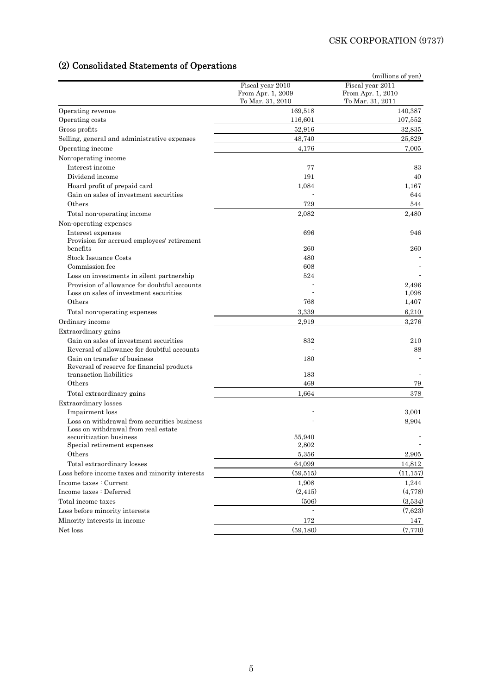# (2) Consolidated Statements of Operations

|                                                                  |                                       | (millions of yen)                     |
|------------------------------------------------------------------|---------------------------------------|---------------------------------------|
|                                                                  | Fiscal year 2010<br>From Apr. 1, 2009 | Fiscal year 2011<br>From Apr. 1, 2010 |
|                                                                  | To Mar. 31, 2010                      | To Mar. 31, 2011                      |
| Operating revenue                                                | 169,518                               | 140,387                               |
| Operating costs                                                  | 116,601                               | 107,552                               |
| Gross profits                                                    | 52,916                                | 32,835                                |
| Selling, general and administrative expenses                     | 48,740                                | 25,829                                |
| Operating income                                                 | 4,176                                 | 7,005                                 |
| Non-operating income                                             |                                       |                                       |
| Interest income                                                  | 77                                    | 83                                    |
| Dividend income                                                  | 191                                   | 40                                    |
| Hoard profit of prepaid card                                     | 1,084                                 | 1,167                                 |
| Gain on sales of investment securities                           |                                       | 644                                   |
| Others                                                           | 729                                   | 544                                   |
| Total non-operating income                                       | 2,082                                 | 2,480                                 |
| Non-operating expenses                                           |                                       |                                       |
| Interest expenses<br>Provision for accrued employees' retirement | 696                                   | 946                                   |
| benefits                                                         | 260                                   | 260                                   |
| <b>Stock Issuance Costs</b>                                      | 480                                   |                                       |
| Commission fee                                                   | 608                                   |                                       |
| Loss on investments in silent partnership                        | 524                                   |                                       |
| Provision of allowance for doubtful accounts                     |                                       | 2,496                                 |
| Loss on sales of investment securities                           |                                       | 1,098                                 |
| Others                                                           | 768                                   | 1,407                                 |
| Total non-operating expenses                                     | 3,339                                 | 6,210                                 |
| Ordinary income                                                  | 2,919                                 | 3,276                                 |
| Extraordinary gains                                              |                                       |                                       |
| Gain on sales of investment securities                           | 832                                   | 210                                   |
| Reversal of allowance for doubtful accounts                      |                                       | 88                                    |
| Gain on transfer of business                                     | 180                                   |                                       |
| Reversal of reserve for financial products                       |                                       |                                       |
| transaction liabilities                                          | 183                                   |                                       |
| Others                                                           | 469                                   | 79                                    |
| Total extraordinary gains                                        | 1,664                                 | 378                                   |
| Extraordinary losses                                             |                                       |                                       |
| Impairment loss                                                  |                                       | 3,001                                 |
| Loss on withdrawal from securities business                      |                                       | 8,904                                 |
| Loss on withdrawal from real estate                              |                                       |                                       |
| securitization business                                          | 55,940                                |                                       |
| ${\bf Special\hspace{0.1cm}reirement\hspace{0.1cm}expenses}$     | 2,802                                 |                                       |
| Others                                                           | 5,356                                 | 2,905                                 |
| Total extraordinary losses                                       | 64,099                                | 14,812                                |
| Loss before income taxes and minority interests                  | (59, 515)                             | (11, 157)                             |
| Income taxes : Current                                           | 1,908                                 | 1,244                                 |
| Income taxes : Deferred                                          | (2, 415)                              | (4,778)                               |
| Total income taxes                                               | (506)                                 | (3,534)                               |
| Loss before minority interests                                   |                                       | (7,623)                               |
| Minority interests in income                                     | 172                                   | 147                                   |
| Net loss                                                         | (59,180)                              | (7,770)                               |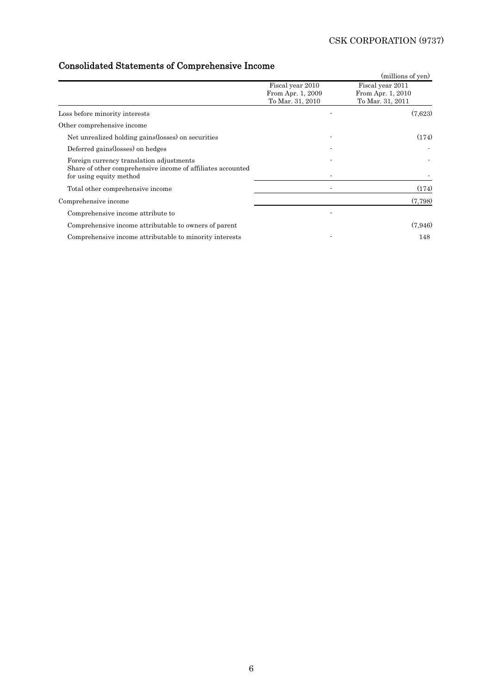# Consolidated Statements of Comprehensive Income

| comodiudica padomento oi comprendimive modific                                                                                     |                                                           |                                                           |
|------------------------------------------------------------------------------------------------------------------------------------|-----------------------------------------------------------|-----------------------------------------------------------|
|                                                                                                                                    |                                                           | (millions of yen)                                         |
|                                                                                                                                    | Fiscal year 2010<br>From Apr. 1, 2009<br>To Mar. 31, 2010 | Fiscal year 2011<br>From Apr. 1, 2010<br>To Mar. 31, 2011 |
| Loss before minority interests                                                                                                     |                                                           | (7,623)                                                   |
| Other comprehensive income                                                                                                         |                                                           |                                                           |
| Net unrealized holding gains (losses) on securities                                                                                |                                                           | (174)                                                     |
| Deferred gains (losses) on hedges                                                                                                  |                                                           |                                                           |
| Foreign currency translation adjustments<br>Share of other comprehensive income of affiliates accounted<br>for using equity method |                                                           |                                                           |
| Total other comprehensive income                                                                                                   |                                                           | (174)                                                     |
| Comprehensive income                                                                                                               |                                                           | (7,798)                                                   |
| Comprehensive income attribute to                                                                                                  |                                                           |                                                           |
| Comprehensive income attributable to owners of parent                                                                              |                                                           | (7.946)                                                   |
| Comprehensive income attributable to minority interests                                                                            |                                                           | 148                                                       |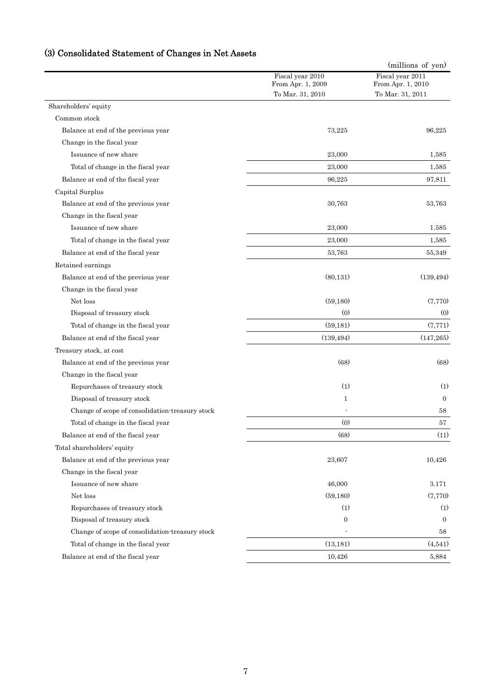|                                                 |                                       | (millions of yen)                     |
|-------------------------------------------------|---------------------------------------|---------------------------------------|
|                                                 | Fiscal year 2010<br>From Apr. 1, 2009 | Fiscal year 2011<br>From Apr. 1, 2010 |
|                                                 | To Mar. 31, 2010                      | To Mar. 31, 2011                      |
| Shareholders' equity                            |                                       |                                       |
| Common stock                                    |                                       |                                       |
| Balance at end of the previous year             | 73,225                                | 96,225                                |
| Change in the fiscal year                       |                                       |                                       |
| Issuance of new share                           | 23,000                                | 1,585                                 |
| Total of change in the fiscal year              | 23,000                                | 1,585                                 |
| Balance at end of the fiscal year               | 96,225                                | 97,811                                |
| Capital Surplus                                 |                                       |                                       |
| Balance at end of the previous year             | 30,763                                | 53,763                                |
| Change in the fiscal year                       |                                       |                                       |
| Issuance of new share                           | 23,000                                | 1.585                                 |
| Total of change in the fiscal year              | 23,000                                | 1,585                                 |
| Balance at end of the fiscal year               | 53,763                                | 55,349                                |
| Retained earnings                               |                                       |                                       |
| Balance at end of the previous year             | (80, 131)                             | (139, 494)                            |
| Change in the fiscal year                       |                                       |                                       |
| Net loss                                        | (59,180)                              | (7,770)                               |
| Disposal of treasury stock                      | (0)                                   | (0)                                   |
| Total of change in the fiscal year              | (59, 181)                             | (7, 771)                              |
| Balance at end of the fiscal year               | (139, 494)                            | (147, 265)                            |
| Treasury stock, at cost                         |                                       |                                       |
| Balance at end of the previous year             | (68)                                  | (68)                                  |
| Change in the fiscal year                       |                                       |                                       |
| Repurchases of treasury stock                   | (1)                                   | (1)                                   |
| Disposal of treasury stock                      | 1                                     | $\overline{0}$                        |
| Change of scope of consolidation-treasury stock |                                       | 58                                    |
| Total of change in the fiscal year              | (0)                                   | 57                                    |
| Balance at end of the fiscal year               | (68)                                  | (11)                                  |
| Total shareholders' equity                      |                                       |                                       |
| Balance at end of the previous year             | 23,607                                | 10,426                                |
| Change in the fiscal year                       |                                       |                                       |
| Issuance of new share                           | 46,000                                | 3.171                                 |
| Net loss                                        | (59, 180)                             | (7,770)                               |
| Repurchases of treasury stock                   | (1)                                   | (1)                                   |
| Disposal of treasury stock                      | $\boldsymbol{0}$                      | $\overline{0}$                        |
| Change of scope of consolidation-treasury stock |                                       | 58                                    |
| Total of change in the fiscal year              | (13, 181)                             | (4,541)                               |
| Balance at end of the fiscal year               | 10,426                                | 5,884                                 |

# (3) Consolidated Statement of Changes in Net Assets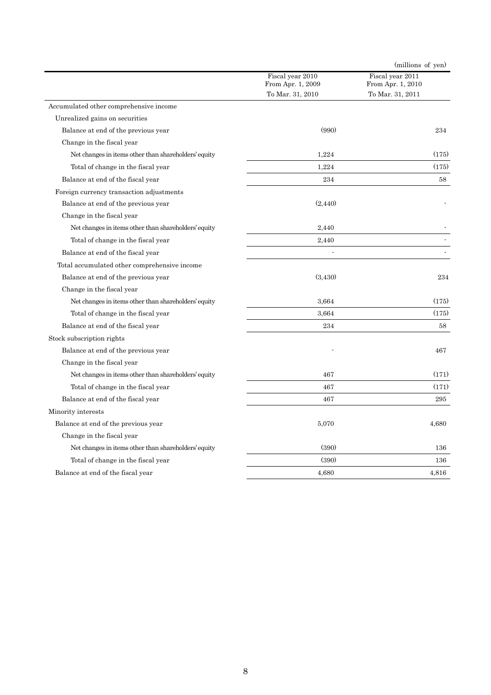|                                                      |                                       | (millions of yen)                     |
|------------------------------------------------------|---------------------------------------|---------------------------------------|
|                                                      | Fiscal year 2010<br>From Apr. 1, 2009 | Fiscal year 2011<br>From Apr. 1, 2010 |
|                                                      | To Mar. 31, 2010                      | To Mar. 31, 2011                      |
| Accumulated other comprehensive income               |                                       |                                       |
| Unrealized gains on securities                       |                                       |                                       |
| Balance at end of the previous year                  | (990)                                 | 234                                   |
| Change in the fiscal year                            |                                       |                                       |
| Net changes in items other than shareholders' equity | 1,224                                 | (175)                                 |
| Total of change in the fiscal year                   | 1,224                                 | (175)                                 |
| Balance at end of the fiscal year                    | 234                                   | 58                                    |
| Foreign currency transaction adjustments             |                                       |                                       |
| Balance at end of the previous year                  | (2, 440)                              |                                       |
| Change in the fiscal year                            |                                       |                                       |
| Net changes in items other than shareholders' equity | 2,440                                 |                                       |
| Total of change in the fiscal year                   | 2,440                                 |                                       |
| Balance at end of the fiscal year                    |                                       |                                       |
| Total accumulated other comprehensive income         |                                       |                                       |
| Balance at end of the previous year                  | (3,430)                               | 234                                   |
| Change in the fiscal year                            |                                       |                                       |
| Net changes in items other than shareholders' equity | 3.664                                 | (175)                                 |
| Total of change in the fiscal year                   | 3.664                                 | (175)                                 |
| Balance at end of the fiscal year                    | 234                                   | 58                                    |
| Stock subscription rights                            |                                       |                                       |
| Balance at end of the previous year                  |                                       | 467                                   |
| Change in the fiscal year                            |                                       |                                       |
| Net changes in items other than shareholders' equity | 467                                   | (171)                                 |
| Total of change in the fiscal year                   | 467                                   | (171)                                 |
| Balance at end of the fiscal year                    | 467                                   | 295                                   |
| Minority interests                                   |                                       |                                       |
| Balance at end of the previous year                  | 5,070                                 | 4,680                                 |
| Change in the fiscal year                            |                                       |                                       |
| Net changes in items other than shareholders' equity | (390)                                 | 136                                   |
| Total of change in the fiscal year                   | (390)                                 | 136                                   |
| Balance at end of the fiscal year                    | 4.680                                 | 4.816                                 |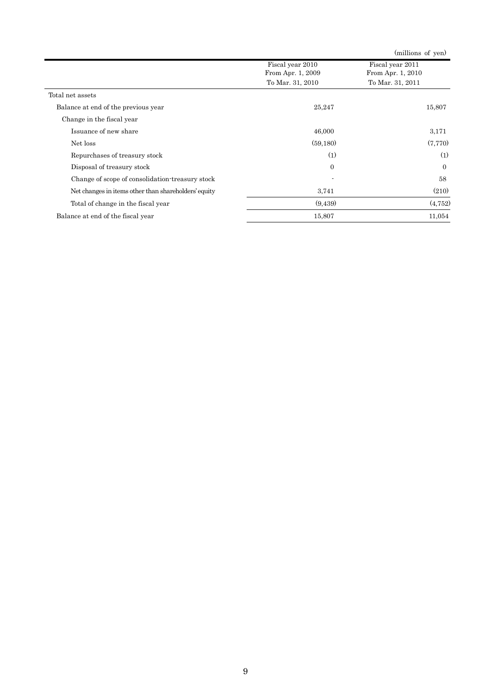|                                                      |                                                           | (millions of yen)                                         |
|------------------------------------------------------|-----------------------------------------------------------|-----------------------------------------------------------|
|                                                      | Fiscal year 2010<br>From Apr. 1, 2009<br>To Mar. 31, 2010 | Fiscal year 2011<br>From Apr. 1, 2010<br>To Mar. 31, 2011 |
| Total net assets                                     |                                                           |                                                           |
| Balance at end of the previous year                  | 25,247                                                    | 15,807                                                    |
| Change in the fiscal year                            |                                                           |                                                           |
| Issuance of new share                                | 46,000                                                    | 3,171                                                     |
| Net loss                                             | (59, 180)                                                 | (7,770)                                                   |
| Repurchases of treasury stock                        | (1)                                                       | (1)                                                       |
| Disposal of treasury stock                           | $\overline{0}$                                            | $\Omega$                                                  |
| Change of scope of consolidation-treasury stock      |                                                           | 58                                                        |
| Net changes in items other than shareholders' equity | 3,741                                                     | (210)                                                     |
| Total of change in the fiscal year                   | (9,439)                                                   | (4.752)                                                   |
| Balance at end of the fiscal year                    | 15,807                                                    | 11,054                                                    |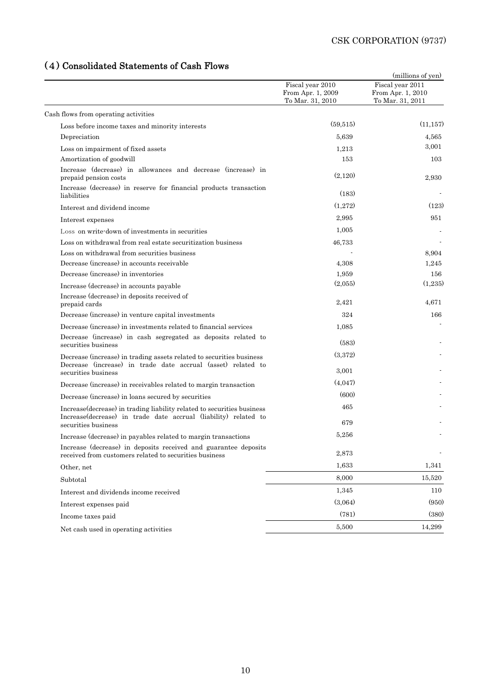# (4) Consolidated Statements of Cash Flows

| (4) Consolidated Statements of Cash Plows                                                                                                   |                                                           | (millions of yen)                                         |
|---------------------------------------------------------------------------------------------------------------------------------------------|-----------------------------------------------------------|-----------------------------------------------------------|
|                                                                                                                                             | Fiscal year 2010<br>From Apr. 1, 2009<br>To Mar. 31, 2010 | Fiscal year 2011<br>From Apr. 1, 2010<br>To Mar. 31, 2011 |
| Cash flows from operating activities                                                                                                        |                                                           |                                                           |
| Loss before income taxes and minority interests                                                                                             | (59, 515)                                                 | (11, 157)                                                 |
| Depreciation                                                                                                                                | 5,639                                                     | 4,565                                                     |
| Loss on impairment of fixed assets                                                                                                          | 1.213                                                     | 3,001                                                     |
| Amortization of goodwill                                                                                                                    | 153                                                       | 103                                                       |
| Increase (decrease) in allowances and decrease (increase) in<br>prepaid pension costs                                                       | (2,120)                                                   | 2,930                                                     |
| Increase (decrease) in reserve for financial products transaction<br>liabilities                                                            | (183)                                                     |                                                           |
| Interest and dividend income                                                                                                                | (1,272)                                                   | (123)                                                     |
| Interest expenses                                                                                                                           | 2,995                                                     | 951                                                       |
| Loss on write-down of investments in securities                                                                                             | 1,005                                                     |                                                           |
| Loss on withdrawal from real estate securitization business                                                                                 | 46,733                                                    |                                                           |
| Loss on withdrawal from securities business                                                                                                 |                                                           | 8,904                                                     |
| Decrease (increase) in accounts receivable                                                                                                  | 4,308                                                     | 1,245                                                     |
| Decrease (increase) in inventories                                                                                                          | 1,959                                                     | 156                                                       |
| Increase (decrease) in accounts payable                                                                                                     | (2,055)                                                   | (1,235)                                                   |
| Increase (decrease) in deposits received of<br>prepaid cards                                                                                | 2,421                                                     | 4,671                                                     |
| Decrease (increase) in venture capital investments                                                                                          | 324                                                       | 166                                                       |
| Decrease (increase) in investments related to financial services                                                                            | 1,085                                                     |                                                           |
| Decrease (increase) in cash segregated as deposits related to<br>securities business                                                        | (583)                                                     |                                                           |
| Decrease (increase) in trading assets related to securities business<br>Decrease (increase) in trade date accrual (asset) related to        | (3,372)                                                   |                                                           |
| securities business                                                                                                                         | 3,001                                                     |                                                           |
| Decrease (increase) in receivables related to margin transaction                                                                            | (4,047)                                                   |                                                           |
| Decrease (increase) in loans secured by securities                                                                                          | (600)                                                     |                                                           |
| Increase (decrease) in trading liability related to securities business<br>Increase (decrease) in trade date accrual (liability) related to | 465                                                       |                                                           |
| securities business                                                                                                                         | 679                                                       |                                                           |
| Increase (decrease) in payables related to margin transactions                                                                              | 5,256                                                     |                                                           |
| Increase (decrease) in deposits received and guarantee deposits<br>received from customers related to securities business                   | 2,873                                                     |                                                           |
| Other, net                                                                                                                                  | 1,633                                                     | 1,341                                                     |
| Subtotal                                                                                                                                    | 8,000                                                     | 15,520                                                    |
| Interest and dividends income received                                                                                                      | 1,345                                                     | 110                                                       |
| Interest expenses paid                                                                                                                      | (3,064)                                                   | (950)                                                     |
| Income taxes paid                                                                                                                           | (781)                                                     | (380)                                                     |
| Net cash used in operating activities                                                                                                       | 5,500                                                     | 14,299                                                    |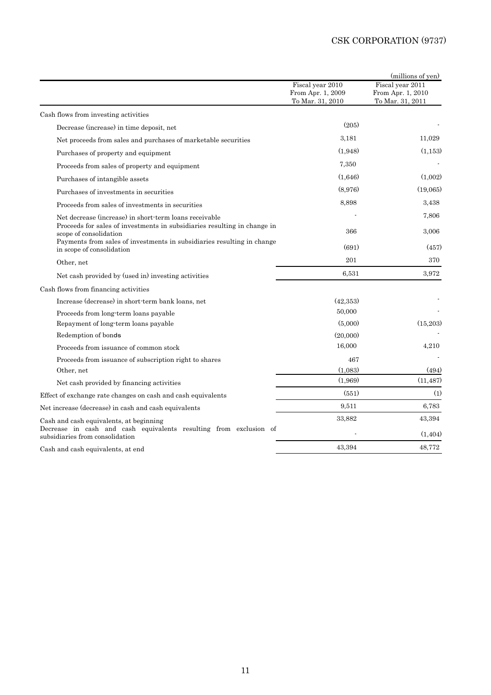|                                                                                                      |                                                           | (millions of yen)                                         |
|------------------------------------------------------------------------------------------------------|-----------------------------------------------------------|-----------------------------------------------------------|
|                                                                                                      | Fiscal year 2010<br>From Apr. 1, 2009<br>To Mar. 31, 2010 | Fiscal year 2011<br>From Apr. 1, 2010<br>To Mar. 31, 2011 |
| Cash flows from investing activities                                                                 |                                                           |                                                           |
| Decrease (increase) in time deposit, net                                                             | (205)                                                     |                                                           |
| Net proceeds from sales and purchases of marketable securities                                       | 3.181                                                     | 11,029                                                    |
| Purchases of property and equipment                                                                  | (1.948)                                                   | (1, 153)                                                  |
| Proceeds from sales of property and equipment                                                        | 7,350                                                     |                                                           |
| Purchases of intangible assets                                                                       | (1,646)                                                   | (1,002)                                                   |
| Purchases of investments in securities                                                               | (8,976)                                                   | (19,065)                                                  |
| Proceeds from sales of investments in securities                                                     | 8,898                                                     | 3,438                                                     |
| Net decrease (increase) in short-term loans receivable                                               |                                                           | 7,806                                                     |
| Proceeds for sales of investments in subsidiaries resulting in change in<br>scope of consolidation   | 366                                                       | 3,006                                                     |
| Payments from sales of investments in subsidiaries resulting in change<br>in scope of consolidation  | (691)                                                     | (457)                                                     |
| Other, net                                                                                           | 201                                                       | 370                                                       |
| Net cash provided by (used in) investing activities                                                  | 6,531                                                     | 3,972                                                     |
| Cash flows from financing activities                                                                 |                                                           |                                                           |
| Increase (decrease) in short-term bank loans, net                                                    | (42,353)                                                  |                                                           |
| Proceeds from long-term loans payable                                                                | 50,000                                                    |                                                           |
| Repayment of long-term loans payable                                                                 | (5,000)                                                   | (15,203)                                                  |
| Redemption of bonds                                                                                  | (20,000)                                                  |                                                           |
| Proceeds from issuance of common stock                                                               | 16,000                                                    | 4,210                                                     |
| Proceeds from issuance of subscription right to shares                                               | 467                                                       |                                                           |
| Other, net                                                                                           | (1,083)                                                   | (494)                                                     |
| Net cash provided by financing activities                                                            | (1,969)                                                   | (11, 487)                                                 |
| Effect of exchange rate changes on cash and cash equivalents                                         | (551)                                                     | (1)                                                       |
| Net increase (decrease) in cash and cash equivalents                                                 | 9,511                                                     | 6,783                                                     |
| Cash and cash equivalents, at beginning                                                              | 33,882                                                    | 43,394                                                    |
| Decrease in cash and cash equivalents resulting from exclusion of<br>subsidiaries from consolidation |                                                           | (1, 404)                                                  |
| Cash and cash equivalents, at end                                                                    | 43.394                                                    | 48,772                                                    |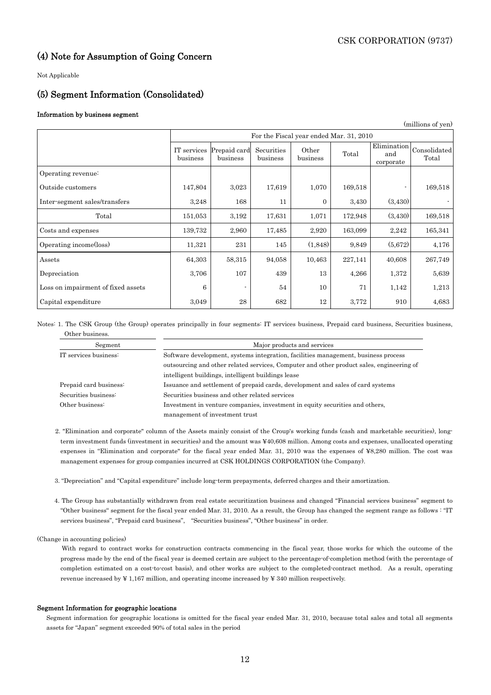## (4) Note for Assumption of Going Concern

Not Applicable

# (5) Segment Information (Consolidated)

### Information by business segment

|                                    |                                         |                          |                        |                   |         |                                 | (millions of yen)     |
|------------------------------------|-----------------------------------------|--------------------------|------------------------|-------------------|---------|---------------------------------|-----------------------|
|                                    | For the Fiscal year ended Mar. 31, 2010 |                          |                        |                   |         |                                 |                       |
|                                    | IT services<br>business                 | Prepaid card<br>business | Securities<br>business | Other<br>business | Total   | Elimination<br>and<br>corporate | Consolidated<br>Total |
| Operating revenue:                 |                                         |                          |                        |                   |         |                                 |                       |
| Outside customers                  | 147,804                                 | 3,023                    | 17,619                 | 1,070             | 169,518 |                                 | 169,518               |
| Inter-segment sales/transfers      | 3,248                                   | 168                      | 11                     | $\theta$          | 3,430   | (3,430)                         |                       |
| Total                              | 151,053                                 | 3,192                    | 17,631                 | 1,071             | 172,948 | (3,430)                         | 169,518               |
| Costs and expenses                 | 139,732                                 | 2,960                    | 17,485                 | 2,920             | 163,099 | 2,242                           | 165,341               |
| Operating income(loss)             | 11,321                                  | 231                      | 145                    | (1,848)           | 9,849   | (5,672)                         | 4,176                 |
| Assets                             | 64,303                                  | 58,315                   | 94,058                 | 10,463            | 227,141 | 40,608                          | 267,749               |
| Depreciation                       | 3,706                                   | 107                      | 439                    | 13                | 4,266   | 1,372                           | 5,639                 |
| Loss on impairment of fixed assets | 6                                       |                          | 54                     | 10                | 71      | 1,142                           | 1,213                 |
| Capital expenditure                | 3,049                                   | 28                       | 682                    | 12                | 3,772   | 910                             | 4,683                 |

Notes: 1. The CSK Group (the Group) operates principally in four segments: IT services business, Prepaid card business, Securities business, Other business.

| Segment                | Major products and services                                                              |  |  |  |  |  |
|------------------------|------------------------------------------------------------------------------------------|--|--|--|--|--|
| IT services business:  | Software development, systems integration, facilities management, business process       |  |  |  |  |  |
|                        | outsourcing and other related services, Computer and other product sales, engineering of |  |  |  |  |  |
|                        | intelligent buildings, intelligent buildings lease                                       |  |  |  |  |  |
| Prepaid card business: | Issuance and settlement of prepaid cards, development and sales of card systems          |  |  |  |  |  |
| Securities business:   | Securities business and other related services                                           |  |  |  |  |  |
| Other business:        | Investment in venture companies, investment in equity securities and others,             |  |  |  |  |  |
|                        | management of investment trust                                                           |  |  |  |  |  |

- 2. "Elimination and corporate" column of the Assets mainly consist of the Croup's working funds (cash and marketable securities), longterm investment funds (investment in securities) and the amount was ¥40,608 million. Among costs and expenses, unallocated operating expenses in "Elimination and corporate" for the fiscal year ended Mar. 31, 2010 was the expenses of ¥8,280 million. The cost was management expenses for group companies incurred at CSK HOLDINGS CORPORATION (the Company).
- 3. "Depreciation" and "Capital expenditure" include long-term prepayments, deferred charges and their amortization.
- 4. The Group has substantially withdrawn from real estate securitization business and changed "Financial services business" segment to "Other business" segment for the fiscal year ended Mar. 31, 2010. As a result, the Group has changed the segment range as follows : "IT services business", "Prepaid card business", "Securities business", "Other business" in order.

#### (Change in accounting policies)

 With regard to contract works for construction contracts commencing in the fiscal year, those works for which the outcome of the progress made by the end of the fiscal year is deemed certain are subject to the percentage-of-completion method (with the percentage of completion estimated on a cost-to-cost basis), and other works are subject to the completed-contract method. As a result, operating revenue increased by  $\yen$  1,167 million, and operating income increased by  $\yen$  340 million respectively.

#### Segment Information for geographic locations

Segment information for geographic locations is omitted for the fiscal year ended Mar. 31, 2010, because total sales and total all segments assets for "Japan" segment exceeded 90% of total sales in the period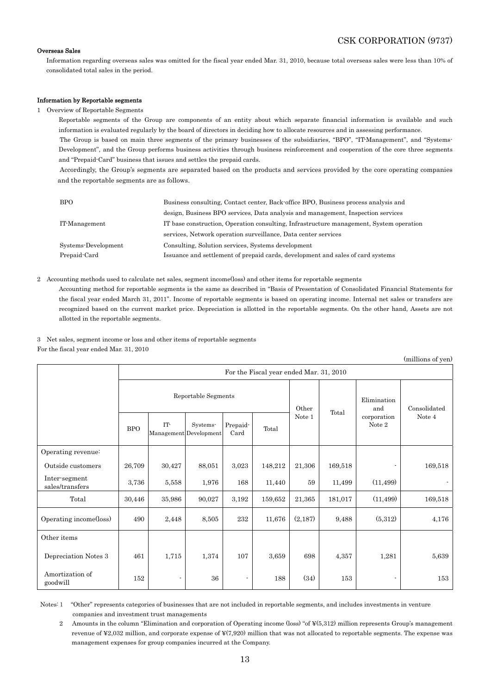### Overseas Sales

Information regarding overseas sales was omitted for the fiscal year ended Mar. 31, 2010, because total overseas sales were less than 10% of consolidated total sales in the period.

#### Information by Reportable segments

#### 1 Overview of Reportable Segments

 Reportable segments of the Group are components of an entity about which separate financial information is available and such information is evaluated regularly by the board of directors in deciding how to allocate resources and in assessing performance. The Group is based on main three segments of the primary businesses of the subsidiaries, "BPO", "IT-Management", and "Systems-Development", and the Group performs business activities through business reinforcement and cooperation of the core three segments and "Prepaid-Card" business that issues and settles the prepaid cards.

 Accordingly, the Group's segments are separated based on the products and services provided by the core operating companies and the reportable segments are as follows.

| <b>BPO</b>          | Business consulting, Contact center, Back office BPO, Business process analysis and     |
|---------------------|-----------------------------------------------------------------------------------------|
|                     | design, Business BPO services, Data analysis and management, Inspection services        |
| IT-Management       | IT base construction, Operation consulting, Infrastructure management, System operation |
|                     | services. Network operation surveillance, Data center services                          |
| Systems-Development | Consulting, Solution services, Systems development                                      |
| Prepaid Card        | Issuance and settlement of prepaid cards, development and sales of card systems         |

2 Accounting methods used to calculate net sales, segment income(loss) and other items for reportable segments

Accounting method for reportable segments is the same as described in "Basis of Presentation of Consolidated Financial Statements for the fiscal year ended March 31, 2011". Income of reportable segments is based on operating income. Internal net sales or transfers are recognized based on the current market price. Depreciation is allotted in the reportable segments. On the other hand, Assets are not allotted in the reportable segments.

3 Net sales, segment income or loss and other items of reportable segments

For the fiscal year ended Mar. 31, 2010

|                                  |                                         |                               |          |                  |         |                    |                       |           | (millions of yen) |  |
|----------------------------------|-----------------------------------------|-------------------------------|----------|------------------|---------|--------------------|-----------------------|-----------|-------------------|--|
|                                  | For the Fiscal year ended Mar. 31, 2010 |                               |          |                  |         |                    |                       |           |                   |  |
|                                  | Reportable Segments                     |                               |          |                  | Other   | Elimination<br>and | Consolidated          |           |                   |  |
|                                  | <b>BPO</b>                              | IT-<br>Management Development | Systems- | Prepaid-<br>Card | Total   | Total<br>Note 1    | corporation<br>Note 2 | Note 4    |                   |  |
| Operating revenue:               |                                         |                               |          |                  |         |                    |                       |           |                   |  |
| Outside customers                | 26,709                                  | 30,427                        | 88,051   | 3,023            | 148,212 | 21,306             | 169,518               |           | 169,518           |  |
| Inter-segment<br>sales/transfers | 3,736                                   | 5,558                         | 1,976    | 168              | 11,440  | 59                 | 11,499                | (11, 499) |                   |  |
| Total                            | 30,446                                  | 35,986                        | 90,027   | 3,192            | 159,652 | 21,365             | 181,017               | (11, 499) | 169,518           |  |
| Operating income(loss)           | 490                                     | 2,448                         | 8,505    | $\bf 232$        | 11,676  | (2,187)            | 9,488                 | (5,312)   | 4,176             |  |
| Other items                      |                                         |                               |          |                  |         |                    |                       |           |                   |  |
| Depreciation Notes 3             | 461                                     | 1,715                         | 1,374    | 107              | 3,659   | 698                | 4,357                 | 1,281     | 5,639             |  |
| Amortization of<br>goodwill      | 152                                     |                               | 36       |                  | 188     | (34)               | 153                   |           | 153               |  |

Notes:1 "Other" represents categories of businesses that are not included in reportable segments, and includes investments in venture companies and investment trust managements

2 Amounts in the column "Elimination and corporation of Operating income (loss) "of ¥(5,312) million represents Group's management revenue of ¥2,032 million, and corporate expense of ¥(7,920) million that was not allocated to reportable segments. The expense was management expenses for group companies incurred at the Company.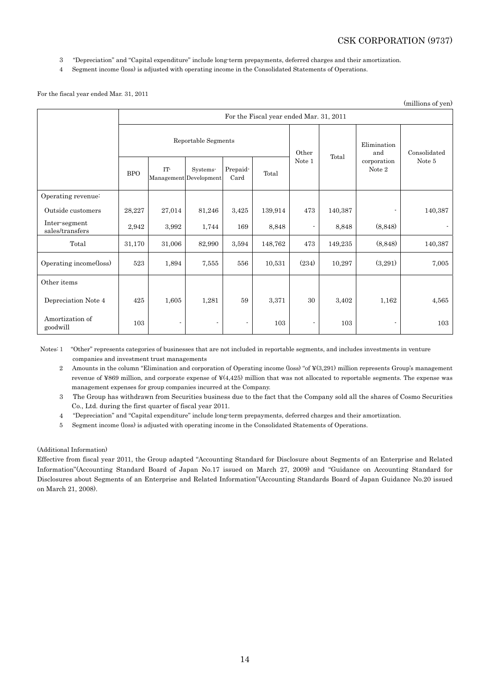- 3 "Depreciation" and "Capital expenditure" include long-term prepayments, deferred charges and their amortization.
- 4 Segment income (loss) is adjusted with operating income in the Consolidated Statements of Operations.

### For the fiscal year ended Mar. 31, 2011

|                                  |                     |                                         |                                    |                          |         |        |         |                          | (millions of yen) |  |  |
|----------------------------------|---------------------|-----------------------------------------|------------------------------------|--------------------------|---------|--------|---------|--------------------------|-------------------|--|--|
|                                  |                     | For the Fiscal year ended Mar. 31, 2011 |                                    |                          |         |        |         |                          |                   |  |  |
|                                  | Reportable Segments |                                         |                                    |                          |         | Other  | Total   | Elimination<br>and       | Consolidated      |  |  |
|                                  | <b>BPO</b>          | IT-                                     | Systems-<br>Management Development | Prepaid-<br>Card         | Total   | Note 1 |         | corporation<br>Note 2    | Note 5            |  |  |
| Operating revenue:               |                     |                                         |                                    |                          |         |        |         |                          |                   |  |  |
| Outside customers                | 28,227              | 27,014                                  | 81,246                             | $3,\!425$                | 139,914 | 473    | 140,387 | ٠                        | 140,387           |  |  |
| Inter-segment<br>sales/transfers | 2,942               | 3,992                                   | 1,744                              | 169                      | 8,848   |        | 8,848   | (8, 848)                 |                   |  |  |
| Total                            | 31,170              | 31,006                                  | 82,990                             | 3,594                    | 148,762 | 473    | 149,235 | (8, 848)                 | 140,387           |  |  |
| Operating income(loss)           | 523                 | 1,894                                   | 7,555                              | 556                      | 10,531  | (234)  | 10,297  | (3,291)                  | 7,005             |  |  |
| Other items                      |                     |                                         |                                    |                          |         |        |         |                          |                   |  |  |
| Depreciation Note 4              | 425                 | 1,605                                   | 1,281                              | 59                       | 3,371   | 30     | 3,402   | 1,162                    | 4,565             |  |  |
| Amortization of<br>goodwill      | 103                 |                                         |                                    | $\overline{\phantom{a}}$ | 103     |        | 103     | $\overline{\phantom{a}}$ | 103               |  |  |

Notes:1 "Other" represents categories of businesses that are not included in reportable segments, and includes investments in venture companies and investment trust managements

2 Amounts in the column "Elimination and corporation of Operating income (loss) "of ¥(3,291) million represents Group's management revenue of ¥869 million, and corporate expense of ¥(4,425) million that was not allocated to reportable segments. The expense was management expenses for group companies incurred at the Company.

3 The Group has withdrawn from Securities business due to the fact that the Company sold all the shares of Cosmo Securities Co., Ltd. during the first quarter of fiscal year 2011.

4 "Depreciation" and "Capital expenditure" include long-term prepayments, deferred charges and their amortization.

5 Segment income (loss) is adjusted with operating income in the Consolidated Statements of Operations.

### (Additional Information)

Effective from fiscal year 2011, the Group adapted "Accounting Standard for Disclosure about Segments of an Enterprise and Related Information"(Accounting Standard Board of Japan No.17 issued on March 27, 2009) and "Guidance on Accounting Standard for Disclosures about Segments of an Enterprise and Related Information"(Accounting Standards Board of Japan Guidance No.20 issued on March 21, 2008).